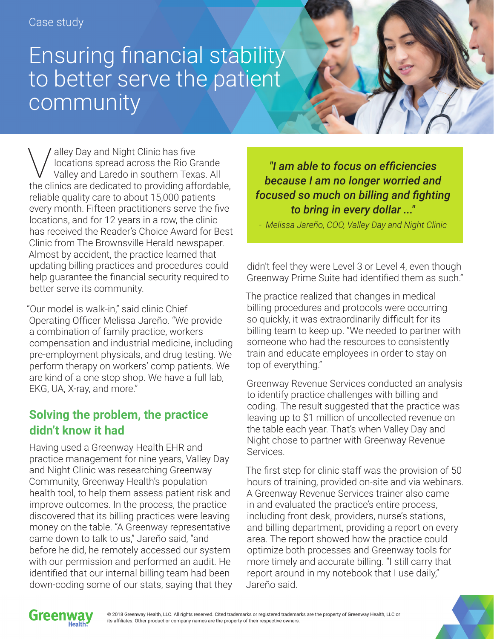## Ensuring financial stability to better serve the patient community

Valley Day and Night Clinic has five<br>Valley and Laredo in southern Texa<br>the clinics are dedicated to providing off locations spread across the Rio Grande Valley and Laredo in southern Texas. All the clinics are dedicated to providing affordable, reliable quality care to about 15,000 patients every month. Fifteen practitioners serve the five locations, and for 12 years in a row, the clinic has received the Reader's Choice Award for Best Clinic from The Brownsville Herald newspaper. Almost by accident, the practice learned that updating billing practices and procedures could help guarantee the financial security required to better serve its community.

"Our model is walk-in," said clinic Chief Operating Officer Melissa Jareño. "We provide a combination of family practice, workers compensation and industrial medicine, including pre-employment physicals, and drug testing. We perform therapy on workers' comp patients. We are kind of a one stop shop. We have a full lab, EKG, UA, X-ray, and more."

## **Solving the problem, the practice didn't know it had**

Having used a Greenway Health EHR and practice management for nine years, Valley Day and Night Clinic was researching Greenway Community, Greenway Health's population health tool, to help them assess patient risk and improve outcomes. In the process, the practice discovered that its billing practices were leaving money on the table. "A Greenway representative came down to talk to us," Jareño said, "and before he did, he remotely accessed our system with our permission and performed an audit. He identified that our internal billing team had been down-coding some of our stats, saying that they

*"I am able to focus on efficiencies because I am no longer worried and focused so much on billing and fighting to bring in every dollar ..."*

*- Melissa Jareño, COO, Valley Day and Night Clinic*

didn't feel they were Level 3 or Level 4, even though Greenway Prime Suite had identified them as such."

The practice realized that changes in medical billing procedures and protocols were occurring so quickly, it was extraordinarily difficult for its billing team to keep up. "We needed to partner with someone who had the resources to consistently train and educate employees in order to stay on top of everything."

Greenway Revenue Services conducted an analysis to identify practice challenges with billing and coding. The result suggested that the practice was leaving up to \$1 million of uncollected revenue on the table each year. That's when Valley Day and Night chose to partner with Greenway Revenue Services.

The first step for clinic staff was the provision of 50 hours of training, provided on-site and via webinars. A Greenway Revenue Services trainer also came in and evaluated the practice's entire process, including front desk, providers, nurse's stations, and billing department, providing a report on every area. The report showed how the practice could optimize both processes and Greenway tools for more timely and accurate billing. "I still carry that report around in my notebook that I use daily," Jareño said.